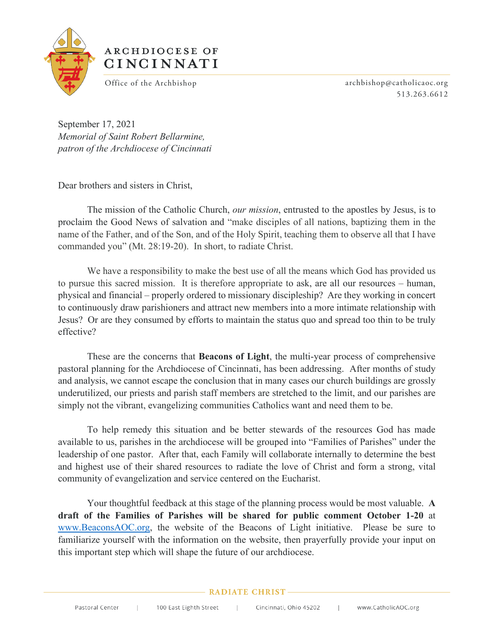

## ARCHDIOCESE OF CINCINNATI

Office of the Archbishop archbishop archbishop@catholicaoc.org 513.263.6612

September 17, 2021 *Memorial of Saint Robert Bellarmine, patron of the Archdiocese of Cincinnati*

Dear brothers and sisters in Christ,

The mission of the Catholic Church, *our mission*, entrusted to the apostles by Jesus, is to proclaim the Good News of salvation and "make disciples of all nations, baptizing them in the name of the Father, and of the Son, and of the Holy Spirit, teaching them to observe all that I have commanded you" (Mt. 28:19-20). In short, to radiate Christ.

We have a responsibility to make the best use of all the means which God has provided us to pursue this sacred mission. It is therefore appropriate to ask, are all our resources – human, physical and financial – properly ordered to missionary discipleship? Are they working in concert to continuously draw parishioners and attract new members into a more intimate relationship with Jesus? Or are they consumed by efforts to maintain the status quo and spread too thin to be truly effective?

These are the concerns that **Beacons of Light**, the multi-year process of comprehensive pastoral planning for the Archdiocese of Cincinnati, has been addressing. After months of study and analysis, we cannot escape the conclusion that in many cases our church buildings are grossly underutilized, our priests and parish staff members are stretched to the limit, and our parishes are simply not the vibrant, evangelizing communities Catholics want and need them to be.

To help remedy this situation and be better stewards of the resources God has made available to us, parishes in the archdiocese will be grouped into "Families of Parishes" under the leadership of one pastor. After that, each Family will collaborate internally to determine the best and highest use of their shared resources to radiate the love of Christ and form a strong, vital community of evangelization and service centered on the Eucharist.

Your thoughtful feedback at this stage of the planning process would be most valuable. **A draft of the Families of Parishes will be shared for public comment October 1-20** at [www.BeaconsAOC.org,](http://www.beaconsaoc.org/) the website of the Beacons of Light initiative. Please be sure to familiarize yourself with the information on the website, then prayerfully provide your input on this important step which will shape the future of our archdiocese.

## **RADIATE CHRIST-**

 $\mathbb{R}^n$